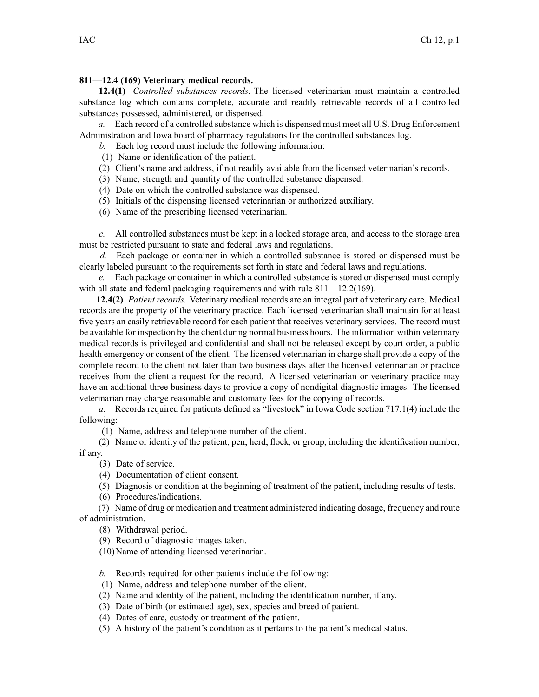## **811—12.4 (169) Veterinary medical records.**

**12.4(1)** *Controlled substances records.* The licensed veterinarian must maintain <sup>a</sup> controlled substance log which contains complete, accurate and readily retrievable records of all controlled substances possessed, administered, or dispensed.

*a.* Each record of <sup>a</sup> controlled substance which is dispensed must meet all U.S. Drug Enforcement Administration and Iowa board of pharmacy regulations for the controlled substances log.

*b.* Each log record must include the following information:

- (1) Name or identification of the patient.
- (2) Client's name and address, if not readily available from the licensed veterinarian's records.
- (3) Name, strength and quantity of the controlled substance dispensed.
- (4) Date on which the controlled substance was dispensed.
- (5) Initials of the dispensing licensed veterinarian or authorized auxiliary.
- (6) Name of the prescribing licensed veterinarian.

*c.* All controlled substances must be kept in <sup>a</sup> locked storage area, and access to the storage area must be restricted pursuan<sup>t</sup> to state and federal laws and regulations.

*d.* Each package or container in which <sup>a</sup> controlled substance is stored or dispensed must be clearly labeled pursuan<sup>t</sup> to the requirements set forth in state and federal laws and regulations.

*e.* Each package or container in which <sup>a</sup> controlled substance is stored or dispensed must comply with all state and federal packaging requirements and with rule 811—12.2(169).

**12.4(2)** *Patient records.* Veterinary medical records are an integral par<sup>t</sup> of veterinary care. Medical records are the property of the veterinary practice. Each licensed veterinarian shall maintain for at least five years an easily retrievable record for each patient that receives veterinary services. The record must be available for inspection by the client during normal business hours. The information within veterinary medical records is privileged and confidential and shall not be released excep<sup>t</sup> by court order, <sup>a</sup> public health emergency or consent of the client. The licensed veterinarian in charge shall provide <sup>a</sup> copy of the complete record to the client not later than two business days after the licensed veterinarian or practice receives from the client <sup>a</sup> reques<sup>t</sup> for the record. A licensed veterinarian or veterinary practice may have an additional three business days to provide <sup>a</sup> copy of nondigital diagnostic images. The licensed veterinarian may charge reasonable and customary fees for the copying of records.

*a.* Records required for patients defined as "livestock" in Iowa Code section [717.1\(4\)](https://www.legis.iowa.gov/docs/ico/section/717.1.pdf) include the following:

(1) Name, address and telephone number of the client.

(2) Name or identity of the patient, pen, herd, flock, or group, including the identification number, if any.

(3) Date of service.

(4) Documentation of client consent.

(5) Diagnosis or condition at the beginning of treatment of the patient, including results of tests.

(6) Procedures/indications.

(7) Name of drug or medication and treatment administered indicating dosage, frequency and route of administration.

(8) Withdrawal period.

(9) Record of diagnostic images taken.

(10)Name of attending licensed veterinarian.

*b.* Records required for other patients include the following:

(1) Name, address and telephone number of the client.

- (2) Name and identity of the patient, including the identification number, if any.
- (3) Date of birth (or estimated age), sex, species and breed of patient.
- (4) Dates of care, custody or treatment of the patient.
- (5) A history of the patient's condition as it pertains to the patient's medical status.